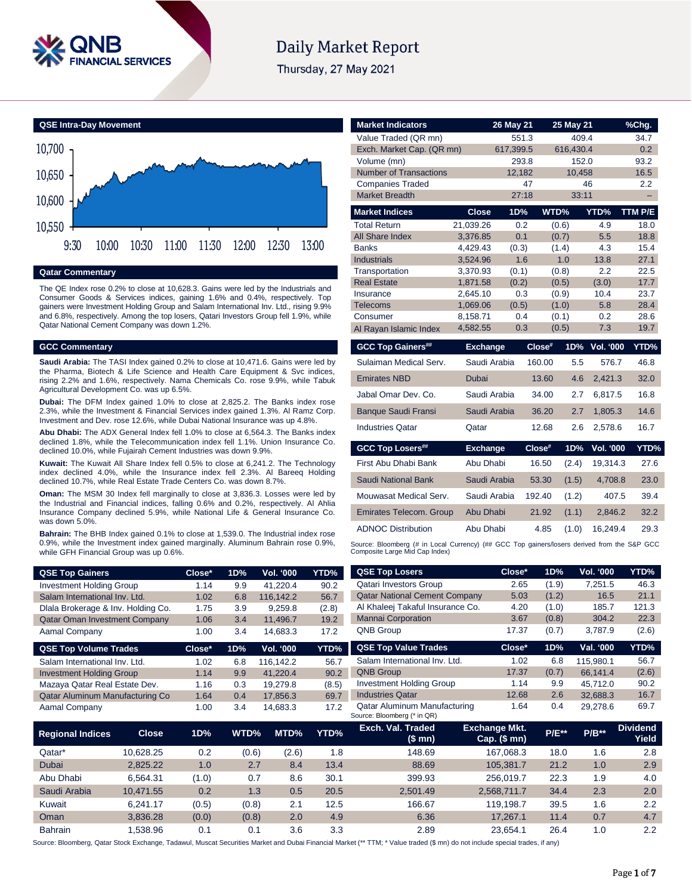

# **Daily Market Report**

Thursday, 27 May 2021



#### **Qatar Commentary**

The QE Index rose 0.2% to close at 10,628.3. Gains were led by the Industrials and Consumer Goods & Services indices, gaining 1.6% and 0.4%, respectively. Top gainers were Investment Holding Group and Salam International Inv. Ltd., rising 9.9% and 6.8%, respectively. Among the top losers, Qatari Investors Group fell 1.9%, while Qatar National Cement Company was down 1.2%.

#### **GCC Commentary**

**Saudi Arabia:** The TASI Index gained 0.2% to close at 10,471.6. Gains were led by the Pharma, Biotech & Life Science and Health Care Equipment & Svc indices, rising 2.2% and 1.6%, respectively. Nama Chemicals Co. rose 9.9%, while Tabuk Agricultural Development Co. was up 6.5%.

**Dubai:** The DFM Index gained 1.0% to close at 2,825.2. The Banks index rose 2.3%, while the Investment & Financial Services index gained 1.3%. Al Ramz Corp. Investment and Dev. rose 12.6%, while Dubai National Insurance was up 4.8%.

**Abu Dhabi:** The ADX General Index fell 1.0% to close at 6,564.3. The Banks index declined 1.8%, while the Telecommunication index fell 1.1%. Union Insurance Co. declined 10.0%, while Fujairah Cement Industries was down 9.9%.

**Kuwait:** The Kuwait All Share Index fell 0.5% to close at 6,241.2. The Technology index declined 4.0%, while the Insurance index fell 2.3%. Al Bareeq Holding declined 10.7%, while Real Estate Trade Centers Co. was down 8.7%.

**Oman:** The MSM 30 Index fell marginally to close at 3,836.3. Losses were led by the Industrial and Financial indices, falling 0.6% and 0.2%, respectively. Al Ahlia Insurance Company declined 5.9%, while National Life & General Insurance Co. was down 5.0%.

**Bahrain:** The BHB Index gained 0.1% to close at 1,539.0. The Industrial index rose 0.9%, while the Investment index gained marginally. Aluminum Bahrain rose 0.9%, while GFH Financial Group was up 0.6%.

| <b>Market Indicators</b>       |                 | 26 May 21 |        | 25 May 21 |                  | %Chg.        |
|--------------------------------|-----------------|-----------|--------|-----------|------------------|--------------|
| Value Traded (QR mn)           |                 | 551.3     |        | 409.4     |                  | 34.7         |
| Exch. Market Cap. (QR mn)      |                 | 617,399.5 |        | 616,430.4 |                  | 0.2          |
| Volume (mn)                    |                 | 293.8     |        | 152.0     |                  | 93.2         |
| <b>Number of Transactions</b>  |                 | 12,182    |        | 10,458    |                  | 16.5         |
| <b>Companies Traded</b>        |                 |           | 47     |           | 46               | 2.2          |
| <b>Market Breadth</b>          |                 | 27:18     |        | 33:11     |                  |              |
| <b>Market Indices</b>          | <b>Close</b>    | 1D%       | WTD%   |           | YTD%             | TTM P/E      |
| <b>Total Return</b>            | 21,039.26       | 0.2       |        | (0.6)     | 4.9              | 18.0         |
| <b>All Share Index</b>         | 3.376.85        | 0.1       |        | (0.7)     | 5.5              | 18.8         |
| <b>Banks</b>                   | 4.429.43        | (0.3)     |        | (1.4)     | 4.3              | 15.4         |
| <b>Industrials</b>             | 3,524.96        | 1.6       |        | 1.0       | 13.8             | 27.1         |
| Transportation                 | 3,370.93        | (0.1)     |        | (0.8)     | 2.2              | 22.5         |
| <b>Real Estate</b>             | 1,871.58        | (0.2)     |        | (0.5)     | (3.0)            | 17.7         |
| Insurance                      | 2,645.10        | 0.3       |        | (0.9)     | 10.4             | 23.7         |
| <b>Telecoms</b>                | 1,069.06        | (0.5)     |        | (1.0)     | 5.8              | 28.4         |
| Consumer                       | 8,158.71        | 0.4       |        | (0.1)     | 0.2              | 28.6         |
| Al Rayan Islamic Index         | 4,582.55        | 0.3       |        | (0.5)     | 7.3              | 19.7         |
|                                |                 |           |        |           |                  |              |
| <b>GCC Top Gainers##</b>       | <b>Exchange</b> |           | Close# | 1D%       | <b>Vol. '000</b> | YTD%         |
| Sulaiman Medical Serv.         | Saudi Arabia    |           | 160.00 | 5.5       | 576.7            | 46.8         |
| <b>Emirates NBD</b>            | Dubai           |           | 13.60  | 4.6       | 2,421.3          | 32.0         |
| Jabal Omar Dev. Co.            | Saudi Arabia    |           | 34.00  | 2.7       | 6,817.5          | 16.8         |
| <b>Banque Saudi Fransi</b>     | Saudi Arabia    |           | 36.20  | 2.7       | 1,805.3          | 14.6         |
| <b>Industries Qatar</b>        | Qatar           |           | 12.68  | 2.6       | 2,578.6          | 16.7         |
| <b>GCC Top Losers##</b>        | <b>Exchange</b> |           | Close# | 1D%       | <b>Vol. '000</b> |              |
| First Abu Dhabi Bank           | Abu Dhabi       |           | 16.50  | (2.4)     | 19,314.3         | 27.6         |
| <b>Saudi National Bank</b>     | Saudi Arabia    |           | 53.30  | (1.5)     | 4,708.8          | 23.0         |
| Mouwasat Medical Serv.         | Saudi Arabia    |           | 192.40 | (1.2)     | 407.5            | 39.4         |
| <b>Emirates Telecom. Group</b> | Abu Dhabi       |           | 21.92  | (1.1)     | 2,846.2          | 32.2         |
| <b>ADNOC Distribution</b>      | Abu Dhabi       |           | 4.85   | (1.0)     | 16,249.4         | YTD%<br>29.3 |

Composite Large Mid Cap Index)

| <b>QSE Top Gainers</b>               |              | Close* | 1D%   | Vol. '000 | YTD%  | <b>QSE Top Losers</b>                | Close*                               | 1D%     | Vol. '000 | YTD%                     |
|--------------------------------------|--------------|--------|-------|-----------|-------|--------------------------------------|--------------------------------------|---------|-----------|--------------------------|
| <b>Investment Holding Group</b>      |              | 1.14   | 9.9   | 41,220.4  | 90.2  | <b>Qatari Investors Group</b>        | 2.65                                 | (1.9)   | 7,251.5   | 46.3                     |
| Salam International Inv. Ltd.        |              | 1.02   | 6.8   | 116,142.2 | 56.7  | <b>Qatar National Cement Company</b> | 5.03                                 | (1.2)   | 16.5      | 21.1                     |
| Dlala Brokerage & Inv. Holding Co.   |              | 1.75   | 3.9   | 9,259.8   | (2.8) | Al Khaleej Takaful Insurance Co.     | 4.20                                 | (1.0)   | 185.7     | 121.3                    |
| <b>Qatar Oman Investment Company</b> |              | 1.06   | 3.4   | 11,496.7  | 19.2  | <b>Mannai Corporation</b>            | 3.67                                 | (0.8)   | 304.2     | 22.3                     |
| Aamal Company                        |              | 1.00   | 3.4   | 14,683.3  | 17.2  | <b>QNB Group</b>                     | 17.37                                | (0.7)   | 3,787.9   | (2.6)                    |
| <b>QSE Top Volume Trades</b>         |              | Close* | 1D%   | Vol. '000 | YTD%  | <b>QSE Top Value Trades</b>          | Close*                               | 1D%     | Val. '000 | YTD%                     |
| Salam International Inv. Ltd.        |              | 1.02   | 6.8   | 116,142.2 | 56.7  | Salam International Inv. Ltd.        | 1.02                                 | 6.8     | 115,980.1 | 56.7                     |
| <b>Investment Holding Group</b>      |              | 1.14   | 9.9   | 41,220.4  | 90.2  | <b>QNB Group</b>                     | 17.37                                | (0.7)   | 66.141.4  | (2.6)                    |
| Mazaya Qatar Real Estate Dev.        |              | 1.16   | 0.3   | 19,279.8  | (8.5) | <b>Investment Holding Group</b>      | 1.14                                 | 9.9     | 45,712.0  | 90.2                     |
| Qatar Aluminum Manufacturing Co      |              | 1.64   | 0.4   | 17,856.3  | 69.7  | <b>Industries Qatar</b>              | 12.68                                | 2.6     | 32,688.3  | 16.7                     |
| Aamal Company                        |              | 1.00   | 3.4   | 14,683.3  | 17.2  | Qatar Aluminum Manufacturing         | 1.64                                 | 0.4     | 29,278.6  | 69.7                     |
|                                      |              |        |       |           |       | Source: Bloomberg (* in QR)          |                                      |         |           |                          |
| <b>Regional Indices</b>              | <b>Close</b> | 1D%    | WTD%  | MTD%      | YTD%  | Exch. Val. Traded<br>(\$mn)          | <b>Exchange Mkt.</b><br>Cap. $($mn)$ | $P/E**$ | $P/B**$   | <b>Dividend</b><br>Yield |
| Qatar*                               | 10,628.25    | 0.2    | (0.6) | (2.6)     | 1.8   | 148.69                               | 167,068.3                            | 18.0    | 1.6       | 2.8                      |
| Dubai                                | 2,825.22     | 1.0    | 2.7   | 8.4       | 13.4  | 88.69                                | 105,381.7                            | 21.2    | 1.0       | 2.9                      |
| Abu Dhabi                            | 6.564.31     | (1.0)  | 0.7   | 8.6       | 30.1  | 399.93                               | 256.019.7                            | 22.3    | 1.9       | 4.0                      |

Saudi Arabia 10,471.55 0.2 1.3 0.5 20.5 2,501.49 2,568,711.7 34.4 2.3 2.0 Kuwait 6,241.17 (0.5) (0.8) 2.1 12.5 166.67 119,198.7 39.5 1.6 2.2 Oman 3,836.28 (0.0) (0.8) 2.0 4.9 6.36 17,267.1 11.4 0.7 4.7 Bahrain 1,538.96 0.1 0.1 3.6 3.3 2.89 23,654.1 26.4 1.0 2.2

Source: Bloomberg, Qatar Stock Exchange, Tadawul, Muscat Securities Market and Dubai Financial Market (\*\* TTM; \* Value traded (\$ mn) do not include special trades, if any)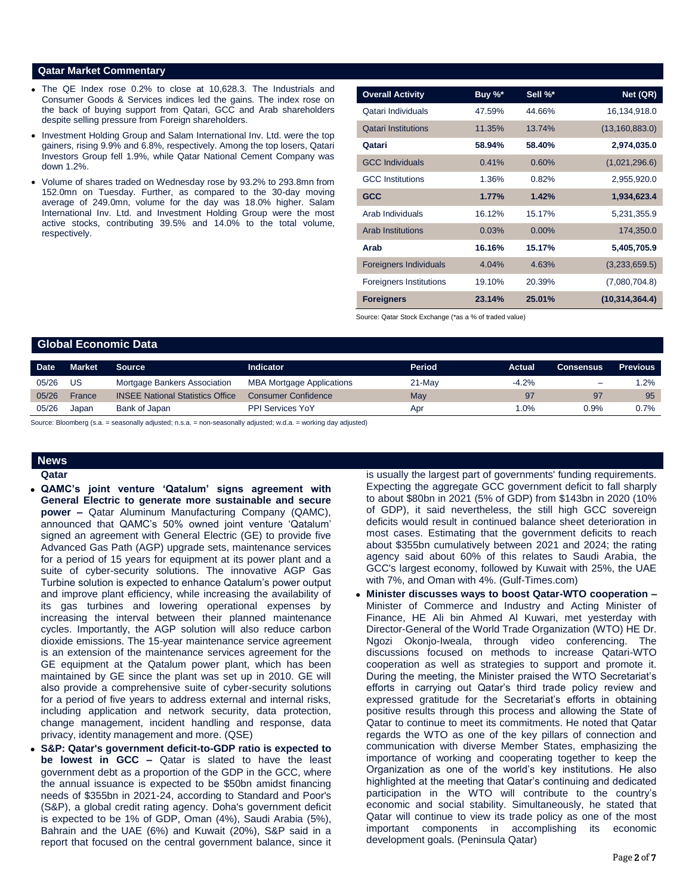#### **Qatar Market Commentary**

- The QE Index rose 0.2% to close at 10,628.3. The Industrials and Consumer Goods & Services indices led the gains. The index rose on the back of buying support from Qatari, GCC and Arab shareholders despite selling pressure from Foreign shareholders.
- Investment Holding Group and Salam International Inv. Ltd. were the top gainers, rising 9.9% and 6.8%, respectively. Among the top losers, Qatari Investors Group fell 1.9%, while Qatar National Cement Company was down 1.2%.
- Volume of shares traded on Wednesday rose by 93.2% to 293.8mn from 152.0mn on Tuesday. Further, as compared to the 30-day moving average of 249.0mn, volume for the day was 18.0% higher. Salam International Inv. Ltd. and Investment Holding Group were the most active stocks, contributing 39.5% and 14.0% to the total volume, respectively.

| <b>Overall Activity</b>        | Buy %* | Sell %*  | Net (QR)         |
|--------------------------------|--------|----------|------------------|
| Qatari Individuals             | 47.59% | 44.66%   | 16,134,918.0     |
| <b>Qatari Institutions</b>     | 11.35% | 13.74%   | (13, 160, 883.0) |
| Qatari                         | 58.94% | 58.40%   | 2,974,035.0      |
| <b>GCC Individuals</b>         | 0.41%  | 0.60%    | (1,021,296.6)    |
| <b>GCC</b> Institutions        | 1.36%  | 0.82%    | 2,955,920.0      |
| <b>GCC</b>                     | 1.77%  | 1.42%    | 1,934,623.4      |
| Arab Individuals               | 16.12% | 15.17%   | 5,231,355.9      |
| <b>Arab Institutions</b>       | 0.03%  | $0.00\%$ | 174,350.0        |
| Arab                           | 16.16% | 15.17%   | 5,405,705.9      |
| <b>Foreigners Individuals</b>  | 4.04%  | 4.63%    | (3,233,659.5)    |
| <b>Foreigners Institutions</b> | 19.10% | 20.39%   | (7,080,704.8)    |
| <b>Foreigners</b>              | 23.14% | 25.01%   | (10, 314, 364.4) |

Source: Qatar Stock Exchange (\*as a % of traded value)

#### **Global Economic Data**

| <b>Date</b> | <b>Market</b> | <b>Source</b>                           | <b>Indicator</b>                 | Period   | <b>Actual</b> | Consensus | <b>Previous</b> |
|-------------|---------------|-----------------------------------------|----------------------------------|----------|---------------|-----------|-----------------|
| 05/26       | US            | Mortgage Bankers Association            | <b>MBA Mortgage Applications</b> | $21-May$ | $-4.2%$       | $\equiv$  | $1.2\%$         |
| 05/26       | France        | <b>INSEE National Statistics Office</b> | <b>Consumer Confidence</b>       | May      | 97            | 97        | 95              |
| 05/26       | Japan         | Bank of Japan                           | <b>PPI Services YoY</b>          | Apr      | $.0\%$        | 0.9%      | 0.7%            |
|             |               |                                         |                                  |          |               |           |                 |

Source: Bloomberg (s.a. = seasonally adjusted; n.s.a. = non-seasonally adjusted; w.d.a. = working day adjusted)

## **News**

- **Qatar**
- **QAMC's joint venture 'Qatalum' signs agreement with General Electric to generate more sustainable and secure power –** Qatar Aluminum Manufacturing Company (QAMC), announced that QAMC's 50% owned joint venture 'Qatalum' signed an agreement with General Electric (GE) to provide five Advanced Gas Path (AGP) upgrade sets, maintenance services for a period of 15 years for equipment at its power plant and a suite of cyber-security solutions. The innovative AGP Gas Turbine solution is expected to enhance Qatalum's power output and improve plant efficiency, while increasing the availability of its gas turbines and lowering operational expenses by increasing the interval between their planned maintenance cycles. Importantly, the AGP solution will also reduce carbon dioxide emissions. The 15-year maintenance service agreement is an extension of the maintenance services agreement for the GE equipment at the Qatalum power plant, which has been maintained by GE since the plant was set up in 2010. GE will also provide a comprehensive suite of cyber-security solutions for a period of five years to address external and internal risks, including application and network security, data protection, change management, incident handling and response, data privacy, identity management and more. (QSE)
- **S&P: Qatar's government deficit-to-GDP ratio is expected to be lowest in GCC –** Qatar is slated to have the least government debt as a proportion of the GDP in the GCC, where the annual issuance is expected to be \$50bn amidst financing needs of \$355bn in 2021-24, according to Standard and Poor's (S&P), a global credit rating agency. Doha's government deficit is expected to be 1% of GDP, Oman (4%), Saudi Arabia (5%), Bahrain and the UAE (6%) and Kuwait (20%), S&P said in a report that focused on the central government balance, since it

is usually the largest part of governments' funding requirements. Expecting the aggregate GCC government deficit to fall sharply to about \$80bn in 2021 (5% of GDP) from \$143bn in 2020 (10% of GDP), it said nevertheless, the still high GCC sovereign deficits would result in continued balance sheet deterioration in most cases. Estimating that the government deficits to reach about \$355bn cumulatively between 2021 and 2024; the rating agency said about 60% of this relates to Saudi Arabia, the GCC's largest economy, followed by Kuwait with 25%, the UAE with 7%, and Oman with 4%. (Gulf-Times.com)

 **Minister discusses ways to boost Qatar-WTO cooperation –** Minister of Commerce and Industry and Acting Minister of Finance, HE Ali bin Ahmed Al Kuwari, met yesterday with Director-General of the World Trade Organization (WTO) HE Dr. Ngozi Okonjo-Iweala, through video conferencing. The discussions focused on methods to increase Qatari-WTO cooperation as well as strategies to support and promote it. During the meeting, the Minister praised the WTO Secretariat's efforts in carrying out Qatar's third trade policy review and expressed gratitude for the Secretariat's efforts in obtaining positive results through this process and allowing the State of Qatar to continue to meet its commitments. He noted that Qatar regards the WTO as one of the key pillars of connection and communication with diverse Member States, emphasizing the importance of working and cooperating together to keep the Organization as one of the world's key institutions. He also highlighted at the meeting that Qatar's continuing and dedicated participation in the WTO will contribute to the country's economic and social stability. Simultaneously, he stated that Qatar will continue to view its trade policy as one of the most important components in accomplishing its economic development goals. (Peninsula Qatar)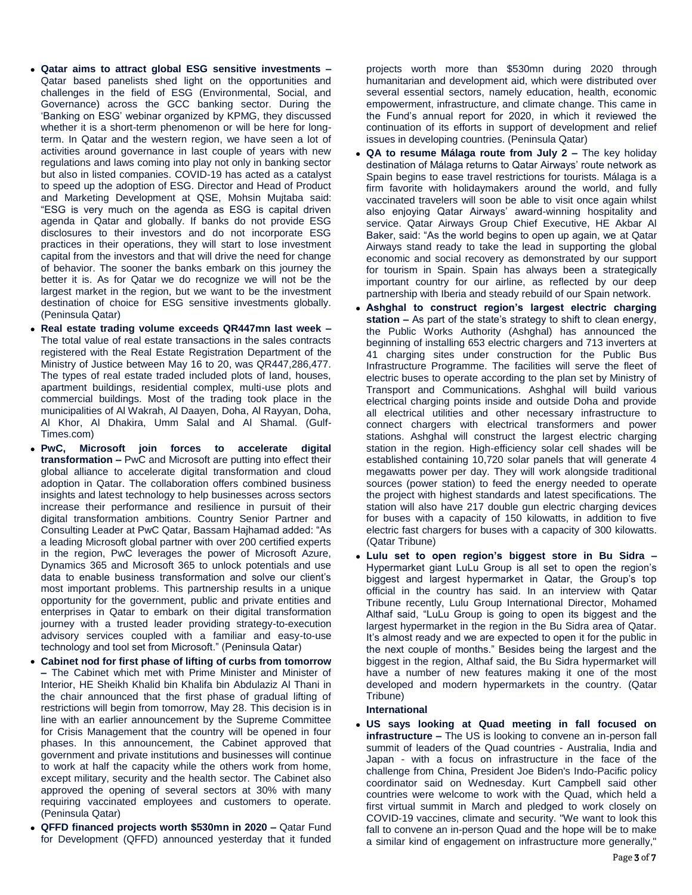- **Qatar aims to attract global ESG sensitive investments –** Qatar based panelists shed light on the opportunities and challenges in the field of ESG (Environmental, Social, and Governance) across the GCC banking sector. During the 'Banking on ESG' webinar organized by KPMG, they discussed whether it is a short-term phenomenon or will be here for longterm. In Qatar and the western region, we have seen a lot of activities around governance in last couple of years with new regulations and laws coming into play not only in banking sector but also in listed companies. COVID-19 has acted as a catalyst to speed up the adoption of ESG. Director and Head of Product and Marketing Development at QSE, Mohsin Mujtaba said: "ESG is very much on the agenda as ESG is capital driven agenda in Qatar and globally. If banks do not provide ESG disclosures to their investors and do not incorporate ESG practices in their operations, they will start to lose investment capital from the investors and that will drive the need for change of behavior. The sooner the banks embark on this journey the better it is. As for Qatar we do recognize we will not be the largest market in the region, but we want to be the investment destination of choice for ESG sensitive investments globally. (Peninsula Qatar)
- **Real estate trading volume exceeds QR447mn last week –** The total value of real estate transactions in the sales contracts registered with the Real Estate Registration Department of the Ministry of Justice between May 16 to 20, was QR447,286,477. The types of real estate traded included plots of land, houses, apartment buildings, residential complex, multi-use plots and commercial buildings. Most of the trading took place in the municipalities of Al Wakrah, Al Daayen, Doha, Al Rayyan, Doha, Al Khor, Al Dhakira, Umm Salal and Al Shamal. (Gulf-Times.com)
- **PwC, Microsoft join forces to accelerate digital transformation –** PwC and Microsoft are putting into effect their global alliance to accelerate digital transformation and cloud adoption in Qatar. The collaboration offers combined business insights and latest technology to help businesses across sectors increase their performance and resilience in pursuit of their digital transformation ambitions. Country Senior Partner and Consulting Leader at PwC Qatar, Bassam Hajhamad added: "As a leading Microsoft global partner with over 200 certified experts in the region, PwC leverages the power of Microsoft Azure, Dynamics 365 and Microsoft 365 to unlock potentials and use data to enable business transformation and solve our client's most important problems. This partnership results in a unique opportunity for the government, public and private entities and enterprises in Qatar to embark on their digital transformation journey with a trusted leader providing strategy-to-execution advisory services coupled with a familiar and easy-to-use technology and tool set from Microsoft." (Peninsula Qatar)
- **Cabinet nod for first phase of lifting of curbs from tomorrow –** The Cabinet which met with Prime Minister and Minister of Interior, HE Sheikh Khalid bin Khalifa bin Abdulaziz Al Thani in the chair announced that the first phase of gradual lifting of restrictions will begin from tomorrow, May 28. This decision is in line with an earlier announcement by the Supreme Committee for Crisis Management that the country will be opened in four phases. In this announcement, the Cabinet approved that government and private institutions and businesses will continue to work at half the capacity while the others work from home, except military, security and the health sector. The Cabinet also approved the opening of several sectors at 30% with many requiring vaccinated employees and customers to operate. (Peninsula Qatar)
- **QFFD financed projects worth \$530mn in 2020 –** Qatar Fund for Development (QFFD) announced yesterday that it funded

projects worth more than \$530mn during 2020 through humanitarian and development aid, which were distributed over several essential sectors, namely education, health, economic empowerment, infrastructure, and climate change. This came in the Fund's annual report for 2020, in which it reviewed the continuation of its efforts in support of development and relief issues in developing countries. (Peninsula Qatar)

- **QA to resume Málaga route from July 2 –** The key holiday destination of Málaga returns to Qatar Airways' route network as Spain begins to ease travel restrictions for tourists. Málaga is a firm favorite with holidaymakers around the world, and fully vaccinated travelers will soon be able to visit once again whilst also enjoying Qatar Airways' award-winning hospitality and service. Qatar Airways Group Chief Executive, HE Akbar Al Baker, said: "As the world begins to open up again, we at Qatar Airways stand ready to take the lead in supporting the global economic and social recovery as demonstrated by our support for tourism in Spain. Spain has always been a strategically important country for our airline, as reflected by our deep partnership with Iberia and steady rebuild of our Spain network.
- **Ashghal to construct region's largest electric charging station –** As part of the state's strategy to shift to clean energy, the Public Works Authority (Ashghal) has announced the beginning of installing 653 electric chargers and 713 inverters at 41 charging sites under construction for the Public Bus Infrastructure Programme. The facilities will serve the fleet of electric buses to operate according to the plan set by Ministry of Transport and Communications. Ashghal will build various electrical charging points inside and outside Doha and provide all electrical utilities and other necessary infrastructure to connect chargers with electrical transformers and power stations. Ashghal will construct the largest electric charging station in the region. High-efficiency solar cell shades will be established containing 10,720 solar panels that will generate 4 megawatts power per day. They will work alongside traditional sources (power station) to feed the energy needed to operate the project with highest standards and latest specifications. The station will also have 217 double gun electric charging devices for buses with a capacity of 150 kilowatts, in addition to five electric fast chargers for buses with a capacity of 300 kilowatts. (Qatar Tribune)
- **Lulu set to open region's biggest store in Bu Sidra –** Hypermarket giant LuLu Group is all set to open the region's biggest and largest hypermarket in Qatar, the Group's top official in the country has said. In an interview with Qatar Tribune recently, Lulu Group International Director, Mohamed Althaf said, "LuLu Group is going to open its biggest and the largest hypermarket in the region in the Bu Sidra area of Qatar. It's almost ready and we are expected to open it for the public in the next couple of months." Besides being the largest and the biggest in the region, Althaf said, the Bu Sidra hypermarket will have a number of new features making it one of the most developed and modern hypermarkets in the country. (Qatar Tribune)

### **International**

 **US says looking at Quad meeting in fall focused on infrastructure –** The US is looking to convene an in-person fall summit of leaders of the Quad countries - Australia, India and Japan - with a focus on infrastructure in the face of the challenge from China, President Joe Biden's Indo-Pacific policy coordinator said on Wednesday. Kurt Campbell said other countries were welcome to work with the Quad, which held a first virtual summit in March and pledged to work closely on COVID-19 vaccines, climate and security. "We want to look this fall to convene an in-person Quad and the hope will be to make a similar kind of engagement on infrastructure more generally,"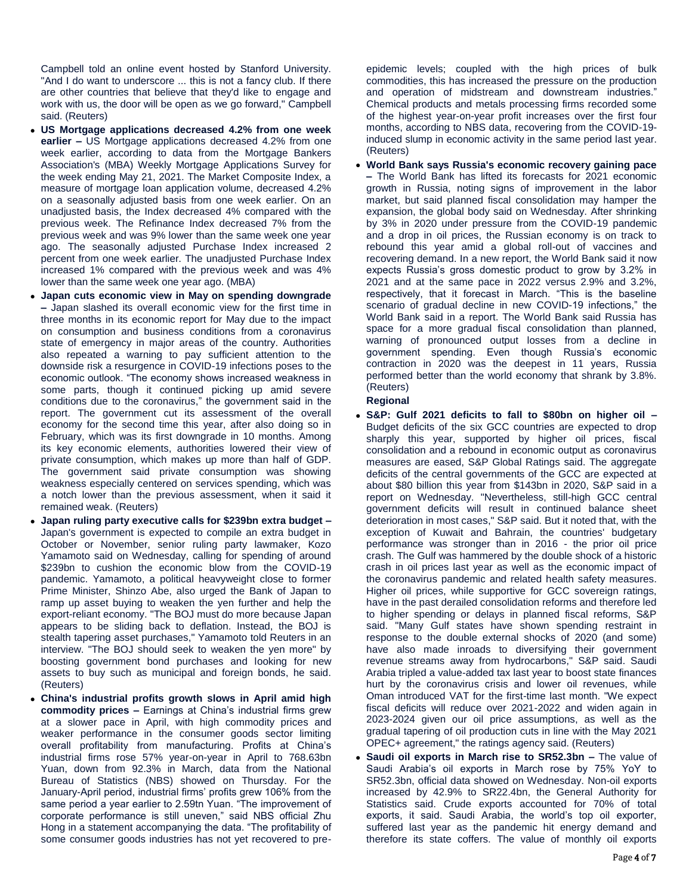Campbell told an online event hosted by Stanford University. "And I do want to underscore ... this is not a fancy club. If there are other countries that believe that they'd like to engage and work with us, the door will be open as we go forward," Campbell said. (Reuters)

- **US Mortgage applications decreased 4.2% from one week earlier –** US Mortgage applications decreased 4.2% from one week earlier, according to data from the Mortgage Bankers Association's (MBA) Weekly Mortgage Applications Survey for the week ending May 21, 2021. The Market Composite Index, a measure of mortgage loan application volume, decreased 4.2% on a seasonally adjusted basis from one week earlier. On an unadjusted basis, the Index decreased 4% compared with the previous week. The Refinance Index decreased 7% from the previous week and was 9% lower than the same week one year ago. The seasonally adjusted Purchase Index increased 2 percent from one week earlier. The unadjusted Purchase Index increased 1% compared with the previous week and was 4% lower than the same week one year ago. (MBA)
- **Japan cuts economic view in May on spending downgrade –** Japan slashed its overall economic view for the first time in three months in its economic report for May due to the impact on consumption and business conditions from a coronavirus state of emergency in major areas of the country. Authorities also repeated a warning to pay sufficient attention to the downside risk a resurgence in COVID-19 infections poses to the economic outlook. "The economy shows increased weakness in some parts, though it continued picking up amid severe conditions due to the coronavirus," the government said in the report. The government cut its assessment of the overall economy for the second time this year, after also doing so in February, which was its first downgrade in 10 months. Among its key economic elements, authorities lowered their view of private consumption, which makes up more than half of GDP. The government said private consumption was showing weakness especially centered on services spending, which was a notch lower than the previous assessment, when it said it remained weak. (Reuters)
- **Japan ruling party executive calls for \$239bn extra budget –** Japan's government is expected to compile an extra budget in October or November, senior ruling party lawmaker, Kozo Yamamoto said on Wednesday, calling for spending of around \$239bn to cushion the economic blow from the COVID-19 pandemic. Yamamoto, a political heavyweight close to former Prime Minister, Shinzo Abe, also urged the Bank of Japan to ramp up asset buying to weaken the yen further and help the export-reliant economy. "The BOJ must do more because Japan appears to be sliding back to deflation. Instead, the BOJ is stealth tapering asset purchases," Yamamoto told Reuters in an interview. "The BOJ should seek to weaken the yen more" by boosting government bond purchases and looking for new assets to buy such as municipal and foreign bonds, he said. (Reuters)
- **China's industrial profits growth slows in April amid high commodity prices –** Earnings at China's industrial firms grew at a slower pace in April, with high commodity prices and weaker performance in the consumer goods sector limiting overall profitability from manufacturing. Profits at China's industrial firms rose 57% year-on-year in April to 768.63bn Yuan, down from 92.3% in March, data from the National Bureau of Statistics (NBS) showed on Thursday. For the January-April period, industrial firms' profits grew 106% from the same period a year earlier to 2.59tn Yuan. "The improvement of corporate performance is still uneven," said NBS official Zhu Hong in a statement accompanying the data. "The profitability of some consumer goods industries has not yet recovered to pre-

epidemic levels; coupled with the high prices of bulk commodities, this has increased the pressure on the production and operation of midstream and downstream industries." Chemical products and metals processing firms recorded some of the highest year-on-year profit increases over the first four months, according to NBS data, recovering from the COVID-19 induced slump in economic activity in the same period last year. (Reuters)

 **World Bank says Russia's economic recovery gaining pace –** The World Bank has lifted its forecasts for 2021 economic growth in Russia, noting signs of improvement in the labor market, but said planned fiscal consolidation may hamper the expansion, the global body said on Wednesday. After shrinking by 3% in 2020 under pressure from the COVID-19 pandemic and a drop in oil prices, the Russian economy is on track to rebound this year amid a global roll-out of vaccines and recovering demand. In a new report, the World Bank said it now expects Russia's gross domestic product to grow by 3.2% in 2021 and at the same pace in 2022 versus 2.9% and 3.2%, respectively, that it forecast in March. "This is the baseline scenario of gradual decline in new COVID-19 infections," the World Bank said in a report. The World Bank said Russia has space for a more gradual fiscal consolidation than planned, warning of pronounced output losses from a decline in government spending. Even though Russia's economic contraction in 2020 was the deepest in 11 years, Russia performed better than the world economy that shrank by 3.8%. (Reuters)

### **Regional**

- **S&P: Gulf 2021 deficits to fall to \$80bn on higher oil –** Budget deficits of the six GCC countries are expected to drop sharply this year, supported by higher oil prices, fiscal consolidation and a rebound in economic output as coronavirus measures are eased, S&P Global Ratings said. The aggregate deficits of the central governments of the GCC are expected at about \$80 billion this year from \$143bn in 2020, S&P said in a report on Wednesday. "Nevertheless, still-high GCC central government deficits will result in continued balance sheet deterioration in most cases," S&P said. But it noted that, with the exception of Kuwait and Bahrain, the countries' budgetary performance was stronger than in 2016 - the prior oil price crash. The Gulf was hammered by the double shock of a historic crash in oil prices last year as well as the economic impact of the coronavirus pandemic and related health safety measures. Higher oil prices, while supportive for GCC sovereign ratings, have in the past derailed consolidation reforms and therefore led to higher spending or delays in planned fiscal reforms, S&P said. "Many Gulf states have shown spending restraint in response to the double external shocks of 2020 (and some) have also made inroads to diversifying their government revenue streams away from hydrocarbons," S&P said. Saudi Arabia tripled a value-added tax last year to boost state finances hurt by the coronavirus crisis and lower oil revenues, while Oman introduced VAT for the first-time last month. "We expect fiscal deficits will reduce over 2021-2022 and widen again in 2023-2024 given our oil price assumptions, as well as the gradual tapering of oil production cuts in line with the May 2021 OPEC+ agreement," the ratings agency said. (Reuters)
- **Saudi oil exports in March rise to SR52.3bn –** The value of Saudi Arabia's oil exports in March rose by 75% YoY to SR52.3bn, official data showed on Wednesday. Non-oil exports increased by 42.9% to SR22.4bn, the General Authority for Statistics said. Crude exports accounted for 70% of total exports, it said. Saudi Arabia, the world's top oil exporter, suffered last year as the pandemic hit energy demand and therefore its state coffers. The value of monthly oil exports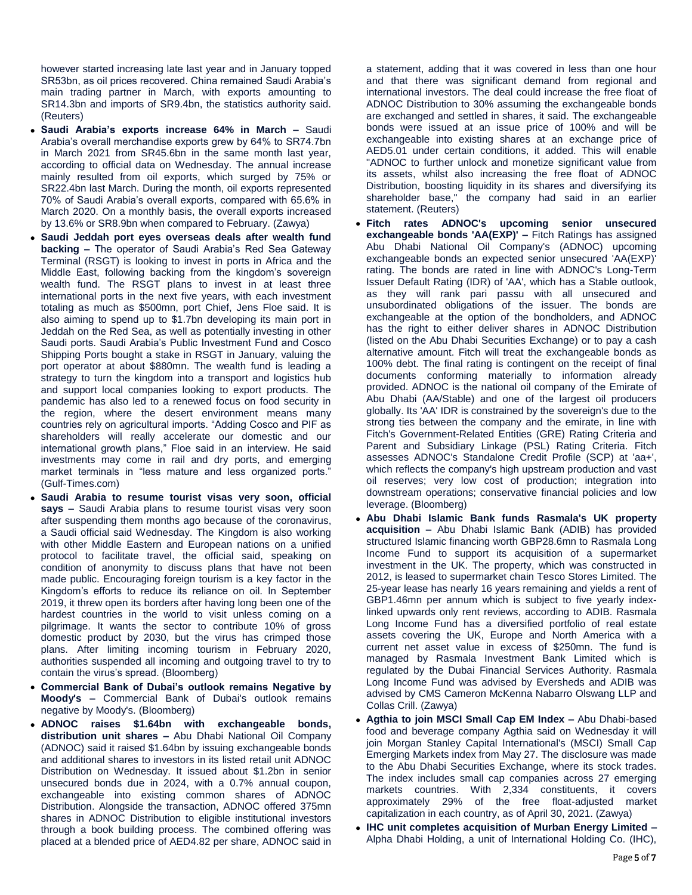however started increasing late last year and in January topped SR53bn, as oil prices recovered. China remained Saudi Arabia's main trading partner in March, with exports amounting to SR14.3bn and imports of SR9.4bn, the statistics authority said. (Reuters)

- **Saudi Arabia's exports increase 64% in March –** Saudi Arabia's overall merchandise exports grew by 64% to SR74.7bn in March 2021 from SR45.6bn in the same month last year, according to official data on Wednesday. The annual increase mainly resulted from oil exports, which surged by 75% or SR22.4bn last March. During the month, oil exports represented 70% of Saudi Arabia's overall exports, compared with 65.6% in March 2020. On a monthly basis, the overall exports increased by 13.6% or SR8.9bn when compared to February. (Zawya)
- **Saudi Jeddah port eyes overseas deals after wealth fund backing –** The operator of Saudi Arabia's Red Sea Gateway Terminal (RSGT) is looking to invest in ports in Africa and the Middle East, following backing from the kingdom's sovereign wealth fund. The RSGT plans to invest in at least three international ports in the next five years, with each investment totaling as much as \$500mn, port Chief, Jens Floe said. It is also aiming to spend up to \$1.7bn developing its main port in Jeddah on the Red Sea, as well as potentially investing in other Saudi ports. Saudi Arabia's Public Investment Fund and Cosco Shipping Ports bought a stake in RSGT in January, valuing the port operator at about \$880mn. The wealth fund is leading a strategy to turn the kingdom into a transport and logistics hub and support local companies looking to export products. The pandemic has also led to a renewed focus on food security in the region, where the desert environment means many countries rely on agricultural imports. "Adding Cosco and PIF as shareholders will really accelerate our domestic and our international growth plans," Floe said in an interview. He said investments may come in rail and dry ports, and emerging market terminals in "less mature and less organized ports." (Gulf-Times.com)
- **Saudi Arabia to resume tourist visas very soon, official says –** Saudi Arabia plans to resume tourist visas very soon after suspending them months ago because of the coronavirus, a Saudi official said Wednesday. The Kingdom is also working with other Middle Eastern and European nations on a unified protocol to facilitate travel, the official said, speaking on condition of anonymity to discuss plans that have not been made public. Encouraging foreign tourism is a key factor in the Kingdom's efforts to reduce its reliance on oil. In September 2019, it threw open its borders after having long been one of the hardest countries in the world to visit unless coming on a pilgrimage. It wants the sector to contribute 10% of gross domestic product by 2030, but the virus has crimped those plans. After limiting incoming tourism in February 2020, authorities suspended all incoming and outgoing travel to try to contain the virus's spread. (Bloomberg)
- **Commercial Bank of Dubai's outlook remains Negative by Moody's –** Commercial Bank of Dubai's outlook remains negative by Moody's. (Bloomberg)
- **ADNOC raises \$1.64bn with exchangeable bonds, distribution unit shares –** Abu Dhabi National Oil Company (ADNOC) said it raised \$1.64bn by issuing exchangeable bonds and additional shares to investors in its listed retail unit ADNOC Distribution on Wednesday. It issued about \$1.2bn in senior unsecured bonds due in 2024, with a 0.7% annual coupon, exchangeable into existing common shares of ADNOC Distribution. Alongside the transaction, ADNOC offered 375mn shares in ADNOC Distribution to eligible institutional investors through a book building process. The combined offering was placed at a blended price of AED4.82 per share, ADNOC said in

a statement, adding that it was covered in less than one hour and that there was significant demand from regional and international investors. The deal could increase the free float of ADNOC Distribution to 30% assuming the exchangeable bonds are exchanged and settled in shares, it said. The exchangeable bonds were issued at an issue price of 100% and will be exchangeable into existing shares at an exchange price of AED5.01 under certain conditions, it added. This will enable "ADNOC to further unlock and monetize significant value from its assets, whilst also increasing the free float of ADNOC Distribution, boosting liquidity in its shares and diversifying its shareholder base," the company had said in an earlier statement. (Reuters)

- **Fitch rates ADNOC's upcoming senior unsecured exchangeable bonds 'AA(EXP)' –** Fitch Ratings has assigned Abu Dhabi National Oil Company's (ADNOC) upcoming exchangeable bonds an expected senior unsecured 'AA(EXP)' rating. The bonds are rated in line with ADNOC's Long-Term Issuer Default Rating (IDR) of 'AA', which has a Stable outlook, as they will rank pari passu with all unsecured and unsubordinated obligations of the issuer. The bonds are exchangeable at the option of the bondholders, and ADNOC has the right to either deliver shares in ADNOC Distribution (listed on the Abu Dhabi Securities Exchange) or to pay a cash alternative amount. Fitch will treat the exchangeable bonds as 100% debt. The final rating is contingent on the receipt of final documents conforming materially to information already provided. ADNOC is the national oil company of the Emirate of Abu Dhabi (AA/Stable) and one of the largest oil producers globally. Its 'AA' IDR is constrained by the sovereign's due to the strong ties between the company and the emirate, in line with Fitch's Government-Related Entities (GRE) Rating Criteria and Parent and Subsidiary Linkage (PSL) Rating Criteria. Fitch assesses ADNOC's Standalone Credit Profile (SCP) at 'aa+', which reflects the company's high upstream production and vast oil reserves; very low cost of production; integration into downstream operations; conservative financial policies and low leverage. (Bloomberg)
- **Abu Dhabi Islamic Bank funds Rasmala's UK property acquisition –** Abu Dhabi Islamic Bank (ADIB) has provided structured Islamic financing worth GBP28.6mn to Rasmala Long Income Fund to support its acquisition of a supermarket investment in the UK. The property, which was constructed in 2012, is leased to supermarket chain Tesco Stores Limited. The 25-year lease has nearly 16 years remaining and yields a rent of GBP1.46mn per annum which is subject to five yearly indexlinked upwards only rent reviews, according to ADIB. Rasmala Long Income Fund has a diversified portfolio of real estate assets covering the UK, Europe and North America with a current net asset value in excess of \$250mn. The fund is managed by Rasmala Investment Bank Limited which is regulated by the Dubai Financial Services Authority. Rasmala Long Income Fund was advised by Eversheds and ADIB was advised by CMS Cameron McKenna Nabarro Olswang LLP and Collas Crill. (Zawya)
- **Agthia to join MSCI Small Cap EM Index –** Abu Dhabi-based food and beverage company Agthia said on Wednesday it will join Morgan Stanley Capital International's (MSCI) Small Cap Emerging Markets index from May 27. The disclosure was made to the Abu Dhabi Securities Exchange, where its stock trades. The index includes small cap companies across 27 emerging markets countries. With 2,334 constituents, it covers approximately 29% of the free float-adjusted market capitalization in each country, as of April 30, 2021. (Zawya)
- **IHC unit completes acquisition of Murban Energy Limited –** Alpha Dhabi Holding, a unit of International Holding Co. (IHC),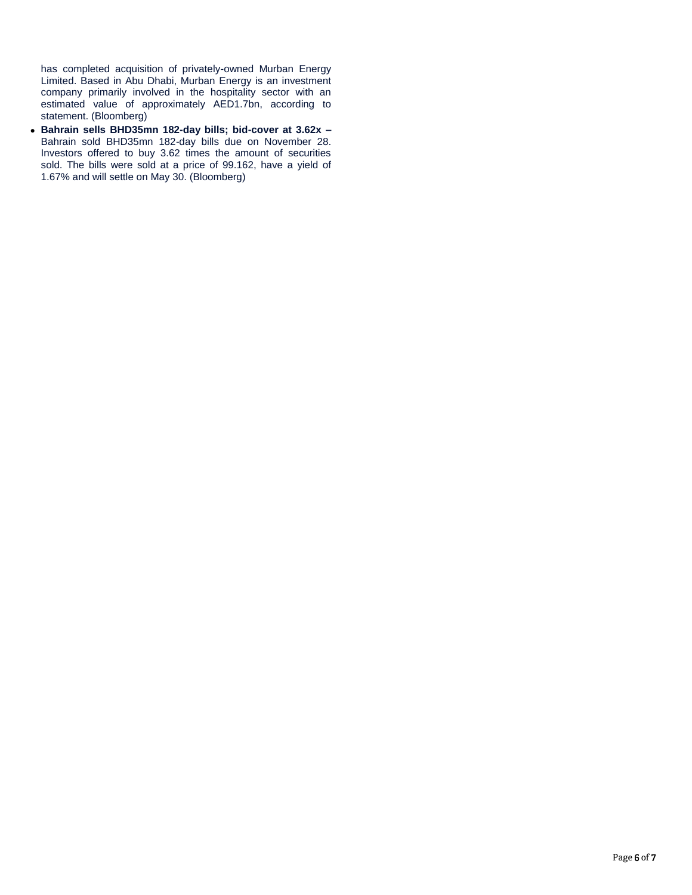has completed acquisition of privately-owned Murban Energy Limited. Based in Abu Dhabi, Murban Energy is an investment company primarily involved in the hospitality sector with an estimated value of approximately AED1.7bn, according to statement. (Bloomberg)

 **Bahrain sells BHD35mn 182-day bills; bid-cover at 3.62x –** Bahrain sold BHD35mn 182-day bills due on November 28. Investors offered to buy 3.62 times the amount of securities sold. The bills were sold at a price of 99.162, have a yield of 1.67% and will settle on May 30. (Bloomberg)